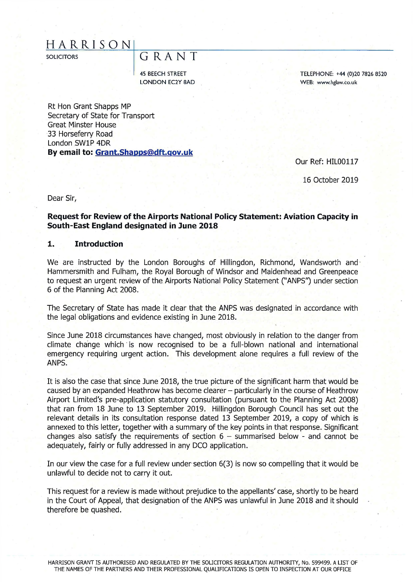# **H A R R I S O N 1 \_\_\_\_\_\_\_\_\_\_\_\_\_\_\_\_\_\_\_\_\_\_\_\_\_\_\_\_\_\_\_\_\_**

# SOLICITORS GUILER A N T

45 BEECH STREET LONDON EC2Y 8AD TELEPHONE: +44 (0)20 7826 8520 WEB: [www.hglaw.co.uk](http://www.hglaw.co.uk)

Rt Hon Grant Shapps MP Secretary of State for Transport Great Minster House 33 Horseferry Road London SW1P 4DR **By email to: [Grant.Shapps@dft.qov.uk](mailto:Grant.Shapps@dft.qov.uk)** 

Our Ref: HIL00117

16 October 2019

Dear Sir,

# **Request for Review of the Airports National Policy Statement: Aviation Capacity in South-East England designated in June 2018**

#### **1. Introduction**

We are instructed by the London Boroughs of Hillingdon, Richmond, Wandsworth and Hammersmith and Fulham, the Royal Borough of Windsor and Maidenhead and Greenpeace to request an urgent review of the Airports National Policy Statement ("ANPS") under section 6 of the Planning Act 2008.

The Secretary of State has made it clear that the ANPS was designated in accordance with the legal obligations and evidence existing in June 2018.

Since June 2018 circumstances have changed, most obviously in relation to the danger from climate change which is now recognised to be a full-blown national and international emergency requiring urgent action. This development alone requires a full review of the ANPS.

It is also the case that since June 2018, the true picture of the significant harm that would be caused by an expanded Heathrow has become clearer - particularly in the course of Heathrow Airport Limited's pre-application statutory consultation (pursuant to the Planning Act 2008) that ran from 18 June to 13 September 2019. Hillingdon Borough Council has set out the relevant details in its consultation response dated 13 September 2019, a copy of which is annexed to this letter, together with a summary of the key points in that response. Significant changes also satisfy the requirements of section  $6 -$  summarised below - and cannot be adequately, fairly or fully addressed in any DCO application.

In our view the case for a full review under section 6(3) is now so compelling that it would be unlawful to decide not to carry it out.

This request for a review is made without prejudice to the appellants' case, shortly to be heard in the Court of Appeal, that designation of the ANPS was unlawful in June 2018 and it should therefore be quashed.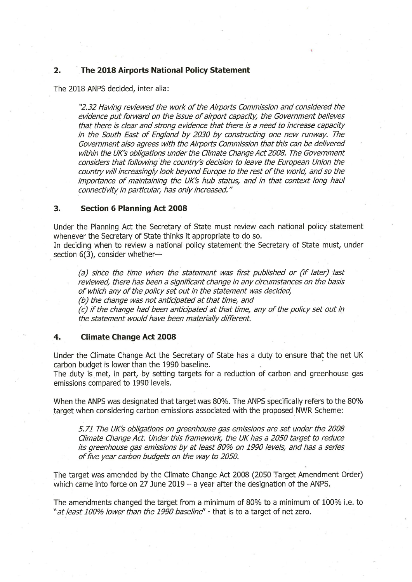# **2. The 2018 Airports National Policy Statement**

The 2018 ANPS decided, inter alia:

"2.32 Having reviewed the work of the Airports Commission and considered the evidence put forward on the issue of airport capacity, the Government believes that there is clear and strong evidence that there is a need to increase capacity in the South East of England by 2030 by constructing one new runway. The Government also agrees with the Airports Commission that this can be delivered within the UK's obligations under the Climate Change Act 2008. The Government considers that following the country's decision to leave the European Union the country will increasingly look beyond Europe to the rest of the world, and so the *importance of maintaining the UK's hub status, and in that context long haul connectivity in particular, has only increased ."* 

### **3. Section 6 Planning Act 2008**

Under the Planning Act the Secretary of State must review each national policy statement whenever the Secretary of State thinks it appropriate to do so.

In deciding when to review a national policy statement the Secretary of State must, under section 6(3), consider whether—

(a) since the time when the statement was first published or (if later) last reviewed, there has been a significant change in any circum stances on the basis of which any of the policy set out in the statement was decided, *(b)* the change was not anticipated at that time, and

*(c)* if the change had been anticipated at that time, any of the policy set out in the statement would have been materially different.

### **4. Climate Change Act 2008**

Under the Climate Change Act the Secretary of State has a duty to ensure that the net UK carbon budget is lower than the 1990 baseline.

The duty is met, in part, by setting targets for a reduction of carbon and greenhouse gas emissions compared to 1990 levels.

When the ANPS was designated that target was 80%. The ANPS specifically refers to the 80% target when considering carbon emissions associated with the proposed NWR Scheme:

5.71 The UK's obligations on greenhouse gas emissions are set under the 2008 *Clim ate Change Act. Under this fram ework, the UK has a 2050 target to reduce its greenhouse gas emissions by at least 80% on 1990 levels, and has a series* of five year carbon budgets on the way to 2050.

The target was amended by the Climate Change Act 2008 (2050 Target Amendment Order) which came into force on 27 June 2019  $-$  a year after the designation of the ANPS.

The amendments changed the target from a minimum of 80% to a minimum of 100% i.e. to "at least 100% lower than the 1990 baseline" - that is to a target of net zero.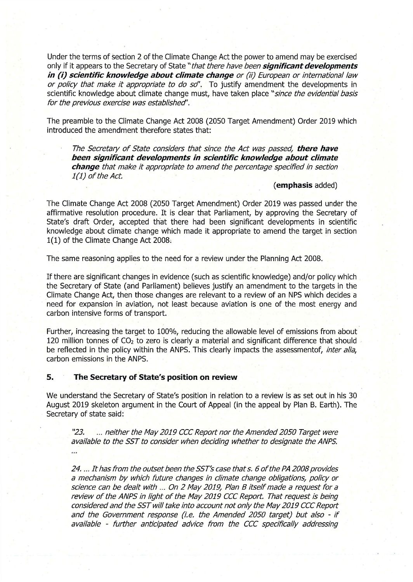Under the terms of section 2 of the Climate Change Act the power to amend may be exercised only if it appears to the Secretary of State "that there have been **significant developments** *in (i) scientific knowledge about climate change or (ii) European or international law or policy that make it appropriate to do so*". To justify amendment the developments in scientific knowledge about climate change must, have taken place "since the evidential basis for the previous exercise was established'.

The preamble to the Climate Change Act 2008 (2050 Target Amendment) Order 2019 which introduced the amendment therefore states that:

The Secretary of State considers that since the Act was passed, there have *been significant developments in scientific knowledge about climate change that m ake it appropriate to am end the percentage specified in section 1(1) of the Act.* 

### **(emphasis** added)

The Climate Change Act 2008 (2050 Target Amendment) Order 2019 was passed under the affirmative resolution procedure. It is clear that Parliament, by approving the Secretary of State's draft Order, accepted that there had been significant developments in scientific knowledge about climate change which made it appropriate to amend the target in section 1(1) of the Climate Change Act 2008;

The same reasoning applies to the need for a review under the Planning Act 2008.

If there are significant changes in evidence (such as scientific knowledge) and/or policy which the Secretary of State (and Parliament) believes justify an amendment to the targets in the Climate Change Act, then those changes are relevant to a review of an NPS which decides a need for expansion in aviation, not least because aviation is one of the most energy and carbon intensive forms of transport.

Further, increasing the target to 100%, reducing the allowable level of emissions from about 120 million tonnes of  $CO<sub>2</sub>$  to zero is clearly a material and significant difference that should be reflected in the policy within the ANPS. This clearly impacts the assessmentof, *inter alia*, carbon emissions in the ANPS.

# **5. The Secretary of State's position on review**

We understand the Secretary of State's position in relation to a review is as set out in his 30 August 2019 skeleton argument in the Court of Appeal (in the appeal by Plan B. Earth). The Secretary of state said:

"23. ... neither the May 2019 CCC Report nor the Amended 2050 Target were available to the SST to consider when deciding whether to designate the ANPS.  $\sim$ 

24. ... It has from the outset been the SST's case that s. 6 of the PA 2008 provides a mechanism by which future changes in climate change obligations, policy or science can be dealt with ... On 2 May 2019, Plan B itself made a request for a review of the ANPS in light of the May 2019 CCC Report. That request is being considered and the SST will take into account not only the May 2019 CCC Report and the Government response (i.e. the Amended 2050 target) but also - if available - further anticipated advice from the CCC specifically addressing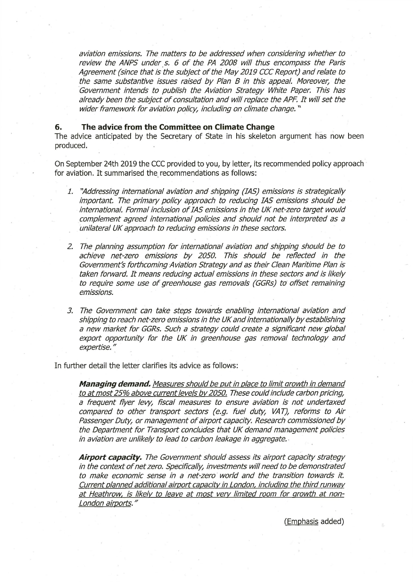aviation emissions. The matters to be addressed when considering whether to review the ANPS under s. 6 of the PA 2008 will thus encompass the Paris Agreement (since that is the subject of the May 2019 CCC Report) and relate to the same substantive issues raised by Plan B in this appeal. Moreover, the *Government intends to publish the Aviation Strategy White Paper. This has* already been the subject of consultation and will replace the APF. It will set the *wider framework for aviation policy, including on climate change.*"

### **6. The advice from the Committee on Climate Change**

The advice anticipated by the Secretary of State in his skeleton argument has now been produced.

On September 24th 2019 the CCC provided to you, by letter, its recommended policy approach for aviation. It summarised the recommendations as follows:

- *1. "Addressing international aviation and shipping (IAS) em issions is strategically important. The primary policy approach to reducing IAS emissions should be* international. Formal inclusion of IAS emissions in the UK net-zero target would *complement agreed international policies and should not be interpreted as a* unilateral UK approach to reducing emissions in these sectors.
- *2. The planning assum ption fo r in ternational aviation and shipping should be to* achieve net-zero emissions by 2050. This should be reflected in the Government's forthcoming Aviation Strategy and as their Clean Maritime Plan is taken forward. It means reducing actual emissions in these sectors and is likely to require some use of greenhouse gas removals (GGRs) to offset remaining *em issions.*
- 3. The Government can take steps towards enabling international aviation and *shipping to reach net-zero em issions in the UK and internationally by establishing* a new market for GGRs. Such a strategy could create a significant new global export opportunity for the UK in greenhouse gas removal technology and *expertise."*

In further detail the letter clarifies its advice as follows:

*Managing demand. Measures should be put in place to limit growth in demand* to at most 25% above current levels by 2050. These could include carbon pricing, *a frequent flyer levy, fiscal measures to ensure aviation is not undertaxed compared to other transport sectors (e.g. fuel duty, VAT), reforms to Air* Passenger Duty, or management of airport capacity. Research commissioned by the Department for Transport concludes that UK demand management policies *in aviation are unlikely to lead to carbon leakage in aggregate.* 

**Airport capacity.** The Government should assess its airport capacity strategy *in the context of net zero. Specifically, investments will need to be demonstrated to m ake econom ic sense in a net-zero w orld and the transition tow ards it. Current planned additional airport capacity in London, including the third runw ay* at Heathrow, is likely to leave at most very limited room for growth at non-*London airports. "* 

(Emphasis added)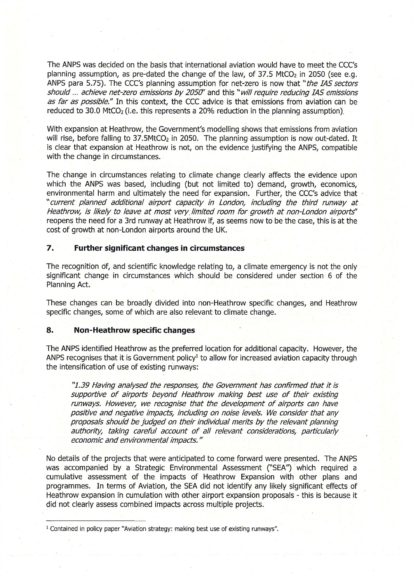The ANPS was decided on the basis that international aviation would have to meet the CCC's planning assumption, as pre-dated the change of the law, of  $37.5$  MtCO<sub>2</sub> in 2050 (see e.g. ANPS para 5.75). The CCC's planning assumption for net-zero is now that *"the IAS sectors* should ... achieve net-zero emissions by 2050' and this "will require reducing IAS emissions as far as possible." In this context, the CCC advice is that emissions from aviation can be reduced to 30.0 MtCO<sub>2</sub> (i.e. this represents a 20% reduction in the planning assumption).

With expansion at Heathrow, the Government's modelling shows that emissions from aviation will rise, before falling to  $37.5$ MtCO<sub>2</sub> in 2050. The planning assumption is now out-dated. It is clear that expansion at Heathrow is not, on the evidence justifying the ANPS, compatible with the change in circumstances.

The change in circumstances relating to climate change clearly affects the evidence upon which the ANPS was based, including (but not limited to) demand, growth, economics, environmental harm and ultimately the need for expansion. Further, the CCC's advice that "current planned additional airport capacity in London, including the third runway at Heathrow, is likely to leave at most very limited room for growth at non-London airports" reopens the need for a 3rd runway at Heathrow if, as seems now to be the case, this is at the cost of growth at non-London airports around the UK.

# **7. Further significant changes in circumstances**

The recognition of, and scientific knowledge relating to, a climate emergency is not the only significant change in circumstances which should be considered under section 6 of the Planning Act.

These changes can be broadly divided into non-Heathrow specific changes, and Heathrow specific changes, some of which are also relevant to climate change.

### **8. Non-Heathrow specific changes**

The ANPS identified Heathrow as the preferred location for additional capacity. However, the ANPS recognises that it is Government policy<sup>1</sup> to allow for increased aviation capacity through the intensification of use of existing runways:

*"1.39 Having analysed the responses, the Governm ent has confirm ed that it is* supportive of airports beyond Heathrow making best use of their existing runways. However, we recognise that the development of airports can have positive and negative impacts, including on noise levels. We consider that any *proposals should be judged on their individual merits by the relevant planning* authority, taking careful account of all relevant considerations, particularly *econom ic and environm ental im pacts."* 

No details of the projects that were anticipated to come forward were presented. The ANPS was accompanied by a Strategic Environmental Assessment ("SEA") which required a cumulative assessment of the impacts of Heathrow Expansion with other plans and programmes. In terms of Aviation, the SEA did not identify any likely significant effects of Heathrow expansion in cumulation with other airport expansion proposals - this is because it did not clearly assess combined impacts across multiple projects.

<sup>&</sup>lt;sup>1</sup> Contained in policy paper "Aviation strategy: making best use of existing runways".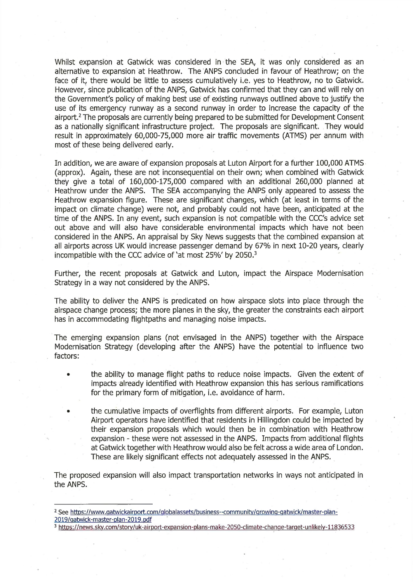Whilst expansion at Gatwick was considered in the SEA, it was only considered as an alternative to expansion at Heathrow. The ANPS concluded in favour of Heathrow; on the face of it, there would be little to assess cumulatively i.e. yes to Heathrow, no to Gatwick. However, since publication of the ANPS, Gatwick has confirmed that they can and will rely on the Government's policy of making best use of existing runways outlined above to justify the use of its emergency runway as a second runway in order to increase the capacity of the airport.<sup>2</sup> The proposals are currently being prepared to be submitted for Development Consent as a nationally significant infrastructure project. The proposals are significant. They would result in approximately 60,000-75,000 more air traffic movements (ATMS) per annum with most of these being delivered early.

In addition, we are aware of expansion proposals at Luton Airport for a further 100,000 ATMS (approx). Again, these are not inconsequential on their own; when combined with Gatwick they give a total of 160,000-175,000 compared with an additional 260,000 planned at Heathrow under the ANPS. The SEA accompanying the ANPS only appeared to assess the Heathrow expansion figure. These are significant changes, which (at least in terms of the impact on climate change) were not, and probably could not have been, anticipated at the time of the ANPS. In any event, such expansion is not compatible with the CCC's advice set out above and will also have considerable environmental impacts which have not been considered in the ANPS. An appraisal by Sky News suggests that the combined expansion at all airports across UK would increase passenger demand by 67% in next 10-20 years, clearly incompatible with the CCC advice of 'at most 25%' by 2050.<sup>3</sup>

Further, the recent proposals at Gatwick and Luton, impact the Airspace Modernisation Strategy in a way not considered by the ANPS.

The ability to deliver the ANPS is predicated on how airspace slots into place through the airspace change process; the more planes in the sky, the greater the constraints each airport has in accommodating flightpaths and managing noise impacts.

The emerging expansion plans (not envisaged in the ANPS) together with the Airspace Modernisation Strategy (developing after the ANPS) have the potential to influence two factors:

- the ability to manage flight paths to reduce noise impacts. Given the extent of impacts already identified with Heathrow expansion this has serious ramifications for the primary form of mitigation, i.e. avoidance of harm.
	- the cumulative impacts of overflights from different airports. For example, Luton Airport operators have identified that residents in Hillingdon could be impacted by their expansion proposals which would then be in combination with Heathrow expansion - these were not assessed in the ANPS. Impacts from additional flights at Gatwick together with Heathrow would also be felt across a wide area of London. These are likely significant effects not adequately assessed in the ANPS.

The proposed expansion will also impact transportation networks in ways not anticipated in the ANPS.

<sup>&</sup>lt;sup>2</sup> See https://www.gatwickairport.com/globalassets/business--community/growing-gatwick/master-plan-[2019/aatwick-master-plan-2019.pdf](http://www.aatwickairport.com/alobalassets/business-communitv/Qrowinq-Qatwick/master-plan-2019/aatwick-master-plan-2019.pdf)

<sup>3</sup><https://news.skv.com/storv/uk-airport-expansion-plans-make-2050-climate-chanqe-tarqet-unlikely-11836533>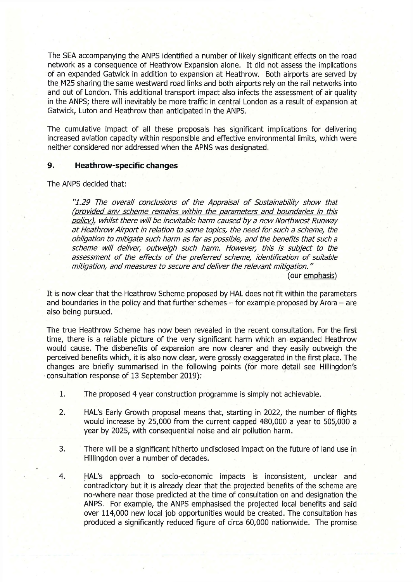The SEA accompanying the ANPS identified a number of likely significant effects on the road network as a consequence of Heathrow Expansion alone. It did not assess the implications of an expanded Gatwick in addition to expansion at Heathrow. Both airports are served by the.M25 sharing the same westward road links and both airports rely on the rail networks into and out of London. This additional transport impact also infects the assessment of air quality in the ANPS; there will inevitably be more traffic in central London as a result of expansion at Gatwick, Luton and Heathrow than anticipated in the ANPS.

The cumulative impact of all these proposals has significant implications for delivering increased aviation capacity within responsible and effective environmental limits, which were neither considered nor addressed when the APNS was designated.

#### **9. Heathrow-specific changes**

The ANPS decided that:

"1.29 The overall conclusions of the Appraisal of Sustainability show that (provided any scheme remains within the parameters and boundaries in this policy), whilst there will be inevitable harm caused by a new Northwest Runway at Heathrow Airport in relation to some topics, the need for such a scheme, the *obligation to m itigate such harm as fa r as possible, and the benefits that such a* scheme will deliver, outweigh such harm. However, this is subject to the assessment of the effects of the preferred scheme, identification of suitable *m itigation, and m easures to secure and deliver the relevant m itigation ."* 

(our emphasis)

It is now clear that the Heathrow Scheme proposed by HAL does not fit within the parameters and boundaries in the policy and that further schemes  $-$  for example proposed by Arora  $-$  are also being pursued.

The true Heathrow Scheme has now been revealed in the recent consultation. For the first time, there is a reliable picture of the very significant harm which an expanded Heathrow would cause. The disbenefits of expansion are now clearer and they easily outweigh the perceived benefits which, it is also now clear, were grossly exaggerated in the first place. The changes are briefly summarised in the following points (for more detail see Hillingdon's consultation response of 13 September 2019):

- 1. The proposed 4 year construction programme is simply not achievable.
- 2. HAL's Early Growth proposal means that, starting in 2022, the number of flights would increase by 25,000 from the current capped 480,000 a year to 505,000 a year by 2025, with consequential noise and air pollution harm.
- 3. There will be a significant hitherto undisclosed impact on the future of land use in Hillingdon over a number of decades.
- 4. HAL's approach to socio-economic impacts is inconsistent, unclear and contradictory but it is already clear that the projected benefits of the scheme are no-where near those predicted at the time of consultation on and designation the ANPS. For example, the ANPS emphasised the projected local benefits and said over 114,000 new local job opportunities would be created. The consultation has produced a significantly reduced figure of circa 60,000 nationwide. The promise